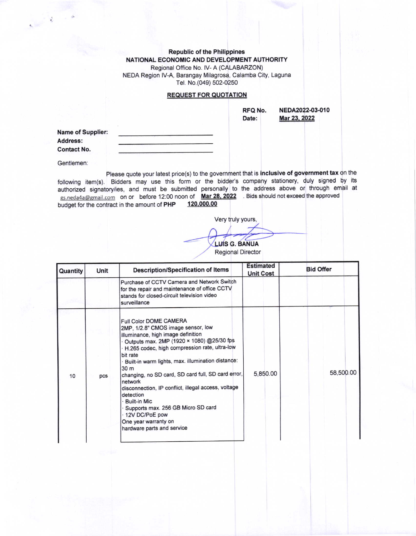Republic of the Philippines NATIONAL ECONOMIC AND DEVELOPMENT AUTHORITY Regional Office No. lV- A (CALABARZON) NEDA Region IV-A, Barangay Milagrosa, Calamba City, Laguna Tel. No.(049) 502-0250

## **REQUEST FOR QUOTATION**

RFQ No. Date:

NEDA2022-03-010 Mar 23.2022

Name of Supplier: Address: Contact No.

Gentlemen:

Please quote your latest price(s) to the government that is inclusive of government tax on the following item(s). Bidders may use this form or the bidder's company stationery, duly signed by its authorized signatory/ies, and must be submitted personally to the address above or through email at gs.neda4a@gmail.com on or before 12:00 noon of Mar 28, 2022 . Bids should not exceed the approved<br>budget for the contract in the amount of PHP 120,000.00 budget for the contract in the amount of PHP

Very truly yours,

LUIS G. BANUA

Regional Director

| Quantity | Unit | <b>Description/Specification of Items</b>                                                                                                                                                                                                                                                                                                                                                                                                                                                                                                                        | <b>Estimated</b><br><b>Unit Cost</b> | <b>Bid Offer</b> |
|----------|------|------------------------------------------------------------------------------------------------------------------------------------------------------------------------------------------------------------------------------------------------------------------------------------------------------------------------------------------------------------------------------------------------------------------------------------------------------------------------------------------------------------------------------------------------------------------|--------------------------------------|------------------|
|          |      | Purchase of CCTV Camera and Network Switch<br>for the repair and maintenance of office CCTV<br>stands for closed-circuit television video<br>surveillance                                                                                                                                                                                                                                                                                                                                                                                                        |                                      |                  |
| 10       | pcs  | Full Color DOME CAMERA<br>2MP, 1/2.8" CMOS image sensor, low<br>illuminance, high image definition<br>Outputs max. 2MP (1920 × 1080) @25/30 fps<br>H.265 codec, high compression rate, ultra-low<br>bit rate<br>· Built-in warm lights, max. illumination distance:<br>30 <sub>m</sub><br>changing, no SD card, SD card full, SD card error,<br>network<br>disconnection, IP conflict, illegal access, voltage<br>detection<br><b>Built-in Mic</b><br>Supports max. 256 GB Micro SD card<br>12V DC/PoE pow<br>One year warranty on<br>hardware parts and service | 5,850.00                             | 58,500.00        |